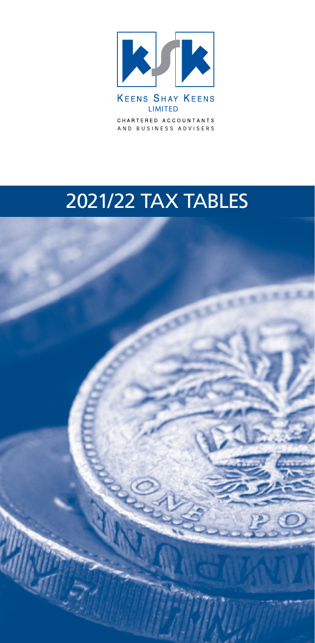

CHARTERED ACCOUNTANTS AND BUSINESS ADVISERS

# 2021/22 TAX TABLES

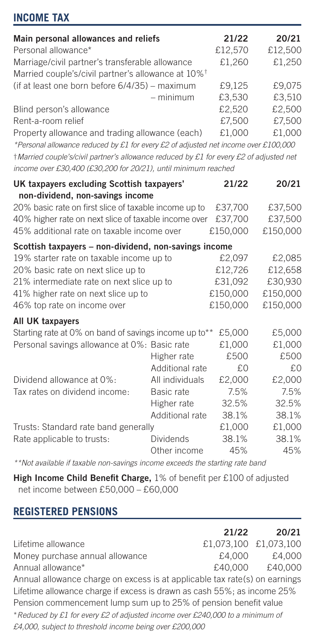# **INCOME TAX**

| Main personal allowances and reliefs                                                   |                  | 21/22    | 20/21    |
|----------------------------------------------------------------------------------------|------------------|----------|----------|
| Personal allowance*                                                                    | £12,570          | £12,500  |          |
| Marriage/civil partner's transferable allowance                                        | £1,260           | £1,250   |          |
| Married couple's/civil partner's allowance at 10% <sup>†</sup>                         |                  |          |          |
| (if at least one born before 6/4/35) - maximum                                         |                  | £9,125   | £9,075   |
|                                                                                        | - minimum        | £3,530   | £3,510   |
| Blind person's allowance                                                               |                  | £2,520   | £2,500   |
| Rent-a-room relief                                                                     |                  | £7,500   | £7,500   |
| Property allowance and trading allowance (each)                                        |                  | £1,000   | £1,000   |
| *Personal allowance reduced by £1 for every £2 of adjusted net income over £100,000    |                  |          |          |
| †Married couple's/civil partner's allowance reduced by £1 for every £2 of adjusted net |                  |          |          |
| income over £30,400 (£30,200 for 20/21), until minimum reached                         |                  |          |          |
| UK taxpayers excluding Scottish taxpayers'                                             |                  | 21/22    | 20/21    |
| non-dividend, non-savings income                                                       |                  |          |          |
| 20% basic rate on first slice of taxable income up to                                  |                  | £37,700  | £37,500  |
| 40% higher rate on next slice of taxable income over                                   |                  | £37,700  | £37,500  |
| 45% additional rate on taxable income over                                             |                  | £150,000 | £150,000 |
| Scottish taxpayers - non-dividend, non-savings income                                  |                  |          |          |
| 19% starter rate on taxable income up to                                               |                  | £2,097   | £2,085   |
| 20% basic rate on next slice up to                                                     |                  | £12,726  | £12,658  |
| 21% intermediate rate on next slice up to                                              |                  | £31,092  | £30,930  |
| 41% higher rate on next slice up to                                                    |                  | £150,000 | £150,000 |
| 46% top rate on income over                                                            |                  | £150,000 | £150,000 |
| All UK taxpayers                                                                       |                  |          |          |
| Starting rate at 0% on band of savings income up to**                                  |                  | £5,000   | £5,000   |
| Personal savings allowance at 0%: Basic rate                                           |                  | £1,000   | £1,000   |
|                                                                                        | Higher rate      | £500     | £500     |
|                                                                                        | Additional rate  | £0       | £0       |
| Dividend allowance at 0%:                                                              | All individuals  | £2,000   | £2,000   |
| Tax rates on dividend income:                                                          | Basic rate       | 7.5%     | 7.5%     |
|                                                                                        | Higher rate      | 32.5%    | 32.5%    |
|                                                                                        | Additional rate  | 38.1%    | 38.1%    |
| Trusts: Standard rate band generally                                                   |                  | £1,000   | £1,000   |
| Rate applicable to trusts:                                                             | <b>Dividends</b> | 38.1%    | 38.1%    |
|                                                                                        | Other income     | 45%      | 45%      |

*\*\*Not available if taxable non-savings income exceeds the starting rate band*

**High Income Child Benefit Charge,** 1% of benefit per £100 of adjusted net income between £50,000 – £60,000

## **REGISTERED PENSIONS**

|                                                                              | 21/22   | 20/21                 |
|------------------------------------------------------------------------------|---------|-----------------------|
| Lifetime allowance                                                           |         | £1.073.100 £1.073.100 |
| Money purchase annual allowance                                              | £4.000  | £4.000                |
| Annual allowance*                                                            | £40.000 | £40,000               |
| Annual allowance charge on excess is at applicable tax rate(s) on earnings   |         |                       |
| Lifetime allowance charge if excess is drawn as cash 55%; as income 25%      |         |                       |
| Pension commencement lump sum up to 25% of pension benefit value             |         |                       |
| *Reduced by £1 for every £2 of adjusted income over £240,000 to a minimum of |         |                       |
| £4,000, subject to threshold income being over £200,000                      |         |                       |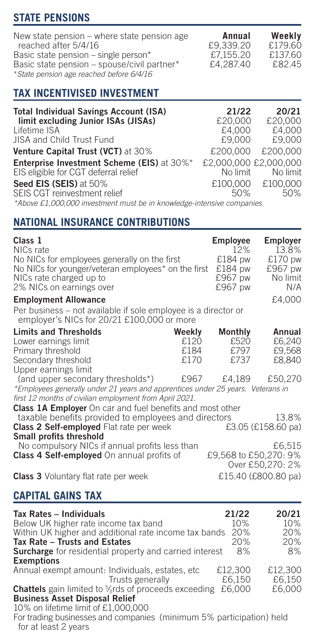# **STATE PENSIONS**

| New state pension - where state pension age | Annual    | Weekly  |
|---------------------------------------------|-----------|---------|
| reached after 5/4/16                        | £9.339.20 | £179.60 |
| Basic state pension - single person*        | £7.155.20 | £137.60 |
| Basic state pension - spouse/civil partner* | £4,287.40 | £82.45  |
| * State pension age reached before 6/4/16   |           |         |

## **TAX INCENTIVISED INVESTMENT**

| <b>Total Individual Savings Account (ISA)</b>                                   | 21/22                 | 20/21    |
|---------------------------------------------------------------------------------|-----------------------|----------|
| limit excluding Junior ISAs (JISAs)                                             | £20,000               | £20,000  |
| Lifetime ISA                                                                    | £4.000                | £4,000   |
| JISA and Child Trust Fund                                                       | £9,000                | £9,000   |
| Venture Capital Trust (VCT) at 30%                                              | £200,000              | £200,000 |
| <b>Enterprise Investment Scheme (EIS) at 30%*</b>                               | £2,000,000 £2,000,000 |          |
| EIS eligible for CGT deferral relief                                            | No limit              | No limit |
| Seed EIS (SEIS) at 50%                                                          | £100,000              | £100,000 |
| SEIS CGT reinvestment relief                                                    | 50%                   | 50%      |
| * About 01,000,000 interpretational by in Incorporation interesting against the |                       |          |

*\*Above £1,000,000 investment must be in knowledge-intensive companies*

## **NATIONAL INSURANCE CONTRIBUTIONS**

| Class 1                                             | <b>Employee</b> | Employer |
|-----------------------------------------------------|-----------------|----------|
| NICs rate                                           | 12%             | 13.8%    |
| No NICs for employees generally on the first        | £184 pw         | £170 pw  |
| No NICs for younger/veteran employees* on the first | £184 pw         | £967 pw  |
| NICs rate charged up to                             | £967 pw         | No limit |
| 2% NICs on earnings over                            | £967 pw         | N/A      |
| <b>Employment Allowance</b>                         |                 | £4,000   |

Per business – not available if sole employee is a director or employer's NICs for 20/21 £100,000 or more

| <b>Limits and Thresholds</b> | Weekly | Monthly | Annual |
|------------------------------|--------|---------|--------|
| Lower earnings limit         | £120   | £520    | £6,240 |
| Primary threshold            | £184   | £797    | £9.568 |
| Secondary threshold          | £170   | £737    | £8,840 |
| Upper earnings limit         |        |         |        |

(and upper secondary thresholds\*) £967 £4,189 £50,270 *\*Employees generally under 21 years and apprentices under 25 years. Veterans in first 12 months of civilian employment from April 2021.*

**Class 1A Employer** On car and fuel benefits and most other taxable benefits provided to employees and directors 13.8%<br> **Lass 2 Self-employeed** Flat rate per week 13.05 (£158.60 pa) **Class 2 Self-employed** Flat rate per week **Small profits threshold**  No compulsory NICs if annual profits less than  $£6,515$ <br>**Cass 4 Self-employed** On annual profits of  $£9,568$  to £50,270: 9% **Class 4 Self-employed** On annual profits of Over £50,270: 2%

**Class 3** Voluntary flat rate per week  $£15.40$  (£800.80 pa)

## **CAPITAL GAINS TAX**

| Tax Rates - Individuals                                              | 21/22   | 20/21   |
|----------------------------------------------------------------------|---------|---------|
| Below UK higher rate income tax band                                 | 10%     | 10%     |
| Within UK higher and additional rate income tax bands                | 20%     | 20%     |
| Tax Rate - Trusts and Estates                                        | 20%     | 20%     |
| Surcharge for residential property and carried interest              | 8%      | 8%      |
| <b>Exemptions</b>                                                    |         |         |
| Annual exempt amount: Individuals, estates, etc.                     | £12.300 | £12.300 |
| Trusts generally                                                     | £6.150  | £6.150  |
| <b>Chattels</b> gain limited to %rds of proceeds exceeding           | £6,000  | £6,000  |
| <b>Business Asset Disposal Relief</b>                                |         |         |
| 10% on lifetime limit of £1,000,000                                  |         |         |
| For trading businesses and companies (minimum 5% participation) held |         |         |

for at least 2 years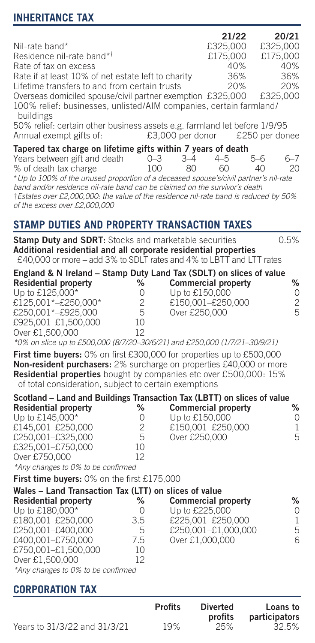# **INHERITANCE TAX**

|                                                                                                                                                                                                                         |                       |       | 21/22    | 20/21    |         |
|-------------------------------------------------------------------------------------------------------------------------------------------------------------------------------------------------------------------------|-----------------------|-------|----------|----------|---------|
| Nil-rate band*                                                                                                                                                                                                          |                       |       | £325,000 | £325,000 |         |
| Residence nil-rate band* <sup>†</sup>                                                                                                                                                                                   |                       |       | £175.000 | £175,000 |         |
| Rate of tax on excess                                                                                                                                                                                                   |                       |       | 40%      |          | 40%     |
| Rate if at least 10% of net estate left to charity                                                                                                                                                                      |                       |       | 36%      |          | 36%     |
| Lifetime transfers to and from certain trusts                                                                                                                                                                           |                       |       | 20%      |          | 20%     |
| Overseas domiciled spouse/civil partner exemption £325,000                                                                                                                                                              |                       |       |          | £325,000 |         |
| 100% relief: businesses, unlisted/AIM companies, certain farmland/<br>buildings<br>50% relief: certain other business assets e.g. farmland let before 1/9/95<br>Annual exempt gifts of: £3,000 per donor £250 per donee |                       |       |          |          |         |
| Tapered tax charge on lifetime gifts within 7 years of death                                                                                                                                                            |                       |       |          |          |         |
| Years between gift and death 0-3                                                                                                                                                                                        |                       | $3-4$ | $4 - 5$  | 5-6      | $6 - 7$ |
| % of death tax charge<br>100                                                                                                                                                                                            |                       | 80.   | 60       | 40       | 20      |
| * Up to 100% of the unused proportion of a deceased spouse's/civil partner's nil-rate                                                                                                                                   |                       |       |          |          |         |
| band and/or residence nil-rate band can be claimed on the survivor's death                                                                                                                                              |                       |       |          |          |         |
| †Estates over £2,000,000: the value of the residence nil-rate band is reduced by 50%<br>of the excess over £2,000,000                                                                                                   |                       |       |          |          |         |
| STAMP DUTIES AND PROPERTY TRANSACTION TAXES                                                                                                                                                                             |                       |       |          |          |         |
| <b>Stamp Duty and SDRT:</b> Stocks and marketable securities                                                                                                                                                            |                       |       |          |          | 0.5%    |
| Additional residential and all corporate residential properties<br>£40,000 or more – add 3% to SDLT rates and 4% to LBTT and LTT rates                                                                                  |                       |       |          |          |         |
| England & N Ireland - Stamp Duty Land Tax (SDLT) on slices of value<br><b>Residential property</b>                                                                                                                      | % Commercial property |       |          |          | ℅       |

| Residential property | ″∘ | Commercial property | "∕o |
|----------------------|----|---------------------|-----|
| Up to £125,000*      |    | Up to £150,000      |     |
| £125.001*-£250.000*  |    | £150.001-£250.000   |     |
| £250.001*-£925.000   | 5  | Over £250,000       | 5   |
| £925.001-£1.500.000  | 10 |                     |     |
| Over £1.500.000      |    |                     |     |

Over £1,500,000 12 *\*0% on slice up to £500,000 (8/7/20–30/6/21) and £250,000 (1/7/21–30/9/21)*

**First time buyers:** 0% on first £300,000 for properties up to £500,000 **Non-resident purchasers:** 2% surcharge on properties £40,000 or more **Residential properties** bought by companies etc over £500,000: 15% of total consideration, subject to certain exemptions

| Scotland - Land and Buildings Transaction Tax (LBTT) on slices of value |    |                            |   |
|-------------------------------------------------------------------------|----|----------------------------|---|
| <b>Residential property</b>                                             | %  | <b>Commercial property</b> | % |
| Up to £145,000*                                                         |    | Up to £150,000             | U |
| £145.001-£250.000                                                       | 2  | £150.001-£250.000          |   |
| £250.001-£325.000                                                       | 5  | Over £250,000              | 5 |
| £325.001-£750.000                                                       | 10 |                            |   |
| Over £750,000                                                           | 12 |                            |   |
| $*A$ changes to $00'$ to be confirmed                                   |    |                            |   |

*\*Any changes to 0% to be confirmed*

**First time buyers:** 0% on the first £175,000

| Wales - Land Transaction Tax (LTT) on slices of value |         |                            |    |
|-------------------------------------------------------|---------|----------------------------|----|
| <b>Residential property</b>                           | %       | <b>Commercial property</b> | ℅  |
| Up to £180,000*                                       | $^{()}$ | Up to £225,000             | O. |
| £180.001-£250.000                                     | 3.5     | £225.001-£250.000          |    |
| £250.001-£400.000                                     | 5       | £250,001-£1,000,000        | 5. |
| £400.001-£750.000                                     | 7.5     | Over £1,000,000            | 6  |
| £750.001-£1.500.000                                   | 10      |                            |    |
| Over £1.500,000                                       | 12      |                            |    |
| *Any changes to 0% to be confirmed                    |         |                            |    |

# **CORPORATION TAX**

|                              | <b>Profits</b> | <b>Diverted</b><br>profits | Loans to<br>participators |
|------------------------------|----------------|----------------------------|---------------------------|
| Years to 31/3/22 and 31/3/21 | 19%            | 25%                        | 32.5%                     |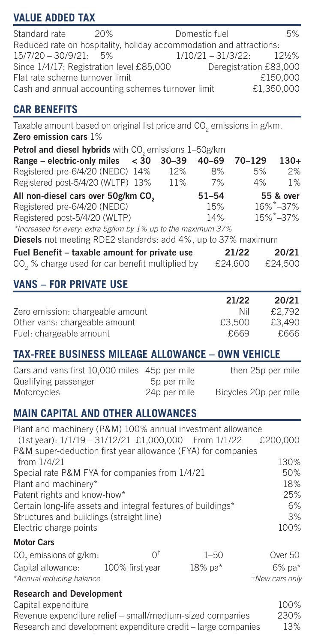# **VALUE ADDED TAX**

| Standard rate                                                       | 20% | Domestic fuel       | 5%                     |
|---------------------------------------------------------------------|-----|---------------------|------------------------|
| Reduced rate on hospitality, holiday accommodation and attractions: |     |                     |                        |
| $15/7/20 - 30/9/21$ : 5%                                            |     | $1/10/21 - 31/3/22$ | $12\frac{1}{2}\%$      |
| Since 1/4/17: Registration level £85,000                            |     |                     | Deregistration £83,000 |
| Flat rate scheme turnover limit                                     |     |                     | £150,000               |
| Cash and annual accounting schemes turnover limit                   |     |                     | £1.350.000             |

# **CAR BENEFITS**

Taxable amount based on original list price and  $\mathsf{CO}_2$  emissions in g/km. **Zero emission cars** 1%

| Petrol and diesel hybrids with CO <sub>2</sub> emissions 1-50g/km |     |           |            |                             |
|-------------------------------------------------------------------|-----|-----------|------------|-----------------------------|
| Range – electric-only miles $<$ 30 30–39                          |     | $40 - 69$ | $70 - 129$ | $130+$                      |
| Registered pre-6/4/20 (NEDC) 14%                                  | 12% | 8%        | 5%         | 2%                          |
| Registered post-5/4/20 (WLTP) 13%                                 | 11% | 7%        | 4%         | 1%                          |
| All non-diesel cars over 50g/km CO.                               |     | $51 - 54$ |            | 55 & over                   |
| Registered pre-6/4/20 (NEDC)                                      |     | 15%       |            | $16\%$ <sup>*</sup> $-37\%$ |
| Registered post-5/4/20 (WLTP)                                     |     | 14%       |            | 15%*-37%                    |
| *Increased for every: extra 5g/km by 1% up to the maximum 37%     |     |           |            |                             |
|                                                                   |     |           |            |                             |

**Diesels** not meeting RDE2 standards: add 4%, up to 37% maximum

| Fuel Benefit - taxable amount for private use               | 21/22   | 20/21   |
|-------------------------------------------------------------|---------|---------|
| CO <sub>2</sub> % charge used for car benefit multiplied by | £24,600 | £24.500 |

# **VANS – FOR PRIVATE USE**

|                                  | 21/22  | 20/21  |
|----------------------------------|--------|--------|
| Zero emission: chargeable amount | Nil    | £2.792 |
| Other vans: chargeable amount    | £3.500 | £3.490 |
| Fuel: chargeable amount          | £669   | £666   |

# **TAX-FREE BUSINESS MILEAGE ALLOWANCE – OWN VEHICLE**

| Cars and vans first 10,000 miles 45p per mile |              | then 25p per mile     |
|-----------------------------------------------|--------------|-----------------------|
| Qualifying passenger                          | 5p per mile  |                       |
| Motorcycles                                   | 24p per mile | Bicycles 20p per mile |

# **MAIN CAPITAL AND OTHER ALLOWANCES**

Plant and machinery (P&M) 100% annual investment allowance<br>(1st year): 1/1/19 - 31/12/21 £1,000,000 From 1/1/22 £200,000 (1st year): 1/1/19 - 31/12/21 £1,000,000 From 1/1/22 P&M super-deduction first year allowance (FYA) for companies from  $1/4/21$  130%<br>Special rate P&M FYA for companies from  $1/4/21$  50% Special rate P&M FYA for companies from 1/4/21 50%<br>Plant and machinery\* 18% Plant and machinery\* 18%<br>Patent rights and know-how\* 18% 18% 18% 18% 18% 18% Patent rights and know-how\* Certain long-life assets and integral features of buildings\* 6%<br>Structures and buildings (straight line) 3% Structures and buildings (straight line) 3% Electric charge points

#### **Motor Cars**

| CO <sub>o</sub> emissions of g/km: | ΩŤ              | $1 - 50$      | Over 50        |
|------------------------------------|-----------------|---------------|----------------|
| Capital allowance:                 | 100% first year | $18\%$ pa $*$ | 6% pa*         |
| *Annual reducing balance           |                 |               | +New cars only |

#### **Research and Development**

Capital expenditure 100% Revenue expenditure relief – small/medium-sized companies 230% Research and development expenditure credit – large companies 13%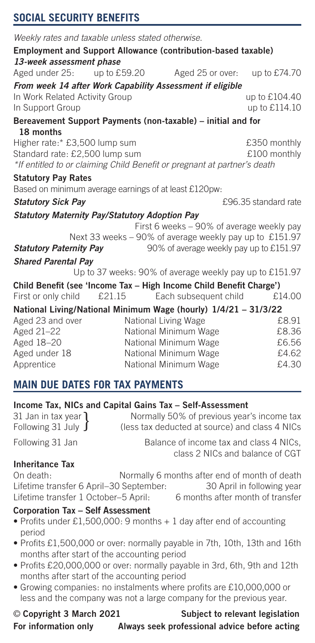# **SOCIAL SECURITY BENEFITS**

| Weekly rates and taxable unless stated otherwise.                         |              |                                                                          |                      |
|---------------------------------------------------------------------------|--------------|--------------------------------------------------------------------------|----------------------|
|                                                                           |              | Employment and Support Allowance (contribution-based taxable)            |                      |
| 13-week assessment phase                                                  |              |                                                                          |                      |
| Aged under 25:                                                            | up to £59.20 | Aged 25 or over:                                                         | up to £74.70         |
|                                                                           |              | From week 14 after Work Capability Assessment if eligible                |                      |
| In Work Related Activity Group                                            |              |                                                                          | up to £104.40        |
| In Support Group                                                          |              |                                                                          | up to £114.10        |
|                                                                           |              | Bereavement Support Payments (non-taxable) – initial and for             |                      |
| 18 months                                                                 |              |                                                                          |                      |
| Higher rate:* £3,500 lump sum                                             |              |                                                                          | £350 monthly         |
| Standard rate: £2,500 lump sum                                            |              |                                                                          | £100 monthly         |
|                                                                           |              | *If entitled to or claiming Child Benefit or pregnant at partner's death |                      |
| <b>Statutory Pay Rates</b>                                                |              |                                                                          |                      |
| Based on minimum average earnings of at least £120pw:                     |              |                                                                          |                      |
| <b>Statutory Sick Pay</b>                                                 |              |                                                                          | £96.35 standard rate |
| <b>Statutory Maternity Pay/Statutory Adoption Pay</b>                     |              |                                                                          |                      |
|                                                                           |              | First 6 weeks - 90% of average weekly pay                                |                      |
| Next 33 weeks - 90% of average weekly pay up to £151.97                   |              |                                                                          |                      |
| 90% of average weekly pay up to £151.97<br><b>Statutory Paternity Pay</b> |              |                                                                          |                      |
| <b>Shared Parental Pay</b>                                                |              |                                                                          |                      |
|                                                                           |              | Up to 37 weeks: 90% of average weekly pay up to £151.97                  |                      |
|                                                                           |              | Child Benefit (see 'Income Tax - High Income Child Benefit Charge')      |                      |
| First or only child                                                       | £21.15       | Each subsequent child                                                    | £14.00               |
|                                                                           |              | National Living/National Minimum Wage (hourly) 1/4/21 - 31/3/22          |                      |
| Aged 23 and over                                                          |              | National Living Wage                                                     | £8.91                |
| Aged 21-22                                                                |              | National Minimum Wage                                                    | £8.36                |
| Aged 18-20                                                                |              | National Minimum Wage                                                    | £6.56                |
| Aged under 18                                                             |              | National Minimum Wage                                                    | £4.62                |
| Apprentice                                                                |              | National Minimum Wage                                                    | £4.30                |

# **MAIN DUE DATES FOR TAX PAYMENTS**

#### **Income Tax, NICs and Capital Gains Tax – Self-Assessment**

| 31 Jan in tax year 1     | Normally 50% of previous year's income tax     |
|--------------------------|------------------------------------------------|
| Following 31 July $\int$ | (less tax deducted at source) and class 4 NICs |

Following 31 Jan Balance of income tax and class 4 NICs, class 2 NICs and balance of CGT

#### **Inheritance Tax**

On death: Normally 6 months after end of month of death<br>Lifetime transfer 6 April–30 September: 30 April in following year Lifetime transfer 6 April–30 September: 30 April in following year<br>Lifetime transfer 1 October–5 April: 6 months after month of transfer Lifetime transfer 1 October–5 April:

#### **Corporation Tax – Self Assessment**

- Profits under £1,500,000: 9 months + 1 day after end of accounting period
- Profits £1,500,000 or over: normally payable in 7th, 10th, 13th and 16th months after start of the accounting period
- Profits £20,000,000 or over: normally payable in 3rd, 6th, 9th and 12th months after start of the accounting period
- Growing companies: no instalments where profits are £10,000,000 or less and the company was not a large company for the previous year.

# © **Copyright 3 March 2021 Subject to relevant legislation For information only Always seek professional advice before acting**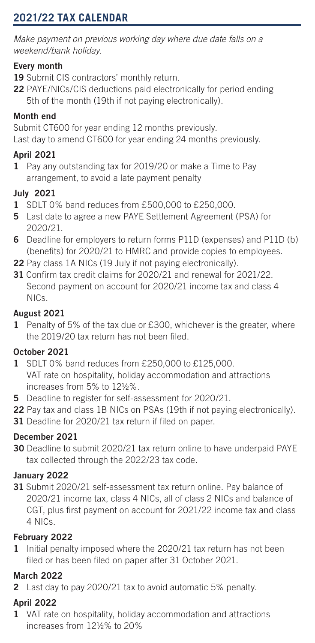# **2021/22 TAX CALENDAR**

*Make payment on previous working day where due date falls on a weekend/bank holiday.*

#### **Every month**

- **19** Submit CIS contractors' monthly return.
- **22** PAYE/NICs/CIS deductions paid electronically for period ending 5th of the month (19th if not paying electronically).

### **Month end**

Submit CT600 for year ending 12 months previously. Last day to amend CT600 for year ending 24 months previously.

## **April 2021**

**1** Pay any outstanding tax for 2019/20 or make a Time to Pay arrangement, to avoid a late payment penalty

## **July 2021**

- **1** SDLT 0% band reduces from £500,000 to £250,000.
- **5** Last date to agree a new PAYE Settlement Agreement (PSA) for 2020/21.
- **6** Deadline for employers to return forms P11D (expenses) and P11D (b) (benefits) for 2020/21 to HMRC and provide copies to employees.
- **22** Pay class 1A NICs (19 July if not paying electronically).
- **31** Confirm tax credit claims for 2020/21 and renewal for 2021/22. Second payment on account for 2020/21 income tax and class 4 NICs.

## **August 2021**

**1** Penalty of 5% of the tax due or £300, whichever is the greater, where the 2019/20 tax return has not been filed.

## **October 2021**

- **1** SDLT 0% band reduces from £250,000 to £125,000. VAT rate on hospitality, holiday accommodation and attractions increases from 5% to 12½%.
- **5** Deadline to register for self-assessment for 2020/21.
- **22** Pay tax and class 1B NICs on PSAs (19th if not paying electronically).
- **31** Deadline for 2020/21 tax return if filed on paper.

# **December 2021**

**30** Deadline to submit 2020/21 tax return online to have underpaid PAYE tax collected through the 2022/23 tax code.

## **January 2022**

**31** Submit 2020/21 self-assessment tax return online. Pay balance of 2020/21 income tax, class 4 NICs, all of class 2 NICs and balance of CGT, plus first payment on account for 2021/22 income tax and class 4 NICs.

## **February 2022**

**1** Initial penalty imposed where the 2020/21 tax return has not been filed or has been filed on paper after 31 October 2021.

## **March 2022**

**2** Last day to pay 2020/21 tax to avoid automatic 5% penalty.

## **April 2022**

**1** VAT rate on hospitality, holiday accommodation and attractions increases from 12½% to 20%